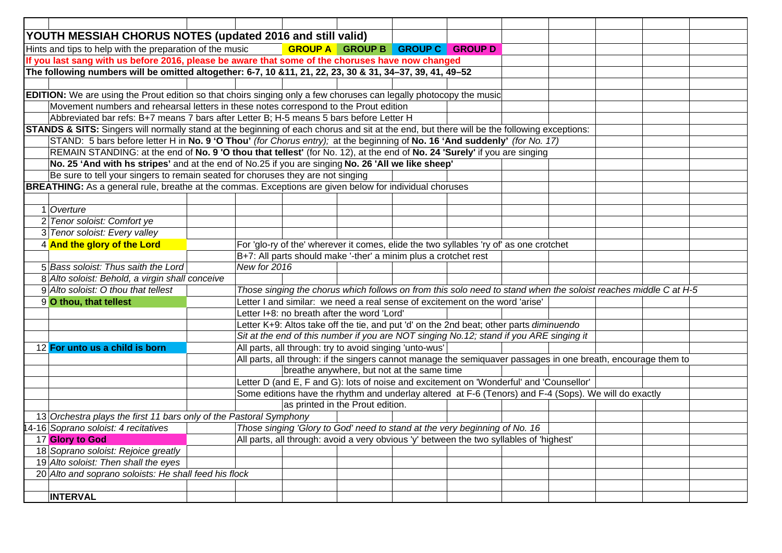| YOUTH MESSIAH CHORUS NOTES (updated 2016 and still valid)                                        |                                                                                                                                                                    |              |  |                                                         |                                                                                         |  |  |  |  |  |  |  |
|--------------------------------------------------------------------------------------------------|--------------------------------------------------------------------------------------------------------------------------------------------------------------------|--------------|--|---------------------------------------------------------|-----------------------------------------------------------------------------------------|--|--|--|--|--|--|--|
| Hints and tips to help with the preparation of the music<br>GROUP A GROUP B GROUP C GROUP D      |                                                                                                                                                                    |              |  |                                                         |                                                                                         |  |  |  |  |  |  |  |
| If you last sang with us before 2016, please be aware that some of the choruses have now changed |                                                                                                                                                                    |              |  |                                                         |                                                                                         |  |  |  |  |  |  |  |
|                                                                                                  | The following numbers will be omitted altogether: 6-7, 10 &11, 21, 22, 23, 30 & 31, 34-37, 39, 41, 49-52                                                           |              |  |                                                         |                                                                                         |  |  |  |  |  |  |  |
|                                                                                                  |                                                                                                                                                                    |              |  |                                                         |                                                                                         |  |  |  |  |  |  |  |
|                                                                                                  | <b>EDITION:</b> We are using the Prout edition so that choirs singing only a few choruses can legally photocopy the music                                          |              |  |                                                         |                                                                                         |  |  |  |  |  |  |  |
|                                                                                                  | Movement numbers and rehearsal letters in these notes correspond to the Prout edition                                                                              |              |  |                                                         |                                                                                         |  |  |  |  |  |  |  |
|                                                                                                  | Abbreviated bar refs: B+7 means 7 bars after Letter B; H-5 means 5 bars before Letter H                                                                            |              |  |                                                         |                                                                                         |  |  |  |  |  |  |  |
|                                                                                                  | <b>STANDS &amp; SITS:</b> Singers will normally stand at the beginning of each chorus and sit at the end, but there will be the following exceptions:              |              |  |                                                         |                                                                                         |  |  |  |  |  |  |  |
|                                                                                                  | STAND: 5 bars before letter H in No. 9 'O Thou' (for Chorus entry); at the beginning of No. 16 'And suddenly' (for No. 17)                                         |              |  |                                                         |                                                                                         |  |  |  |  |  |  |  |
|                                                                                                  | REMAIN STANDING: at the end of No. 9 'O thou that tellest' (for No. 12), at the end of No. 24 'Surely' if you are singing                                          |              |  |                                                         |                                                                                         |  |  |  |  |  |  |  |
|                                                                                                  | No. 25 'And with hs stripes' and at the end of No.25 if you are singing No. 26 'All we like sheep'                                                                 |              |  |                                                         |                                                                                         |  |  |  |  |  |  |  |
|                                                                                                  | Be sure to tell your singers to remain seated for choruses they are not singing                                                                                    |              |  |                                                         |                                                                                         |  |  |  |  |  |  |  |
|                                                                                                  | <b>BREATHING:</b> As a general rule, breathe at the commas. Exceptions are given below for individual choruses                                                     |              |  |                                                         |                                                                                         |  |  |  |  |  |  |  |
|                                                                                                  |                                                                                                                                                                    |              |  |                                                         |                                                                                         |  |  |  |  |  |  |  |
|                                                                                                  | 1 Overture                                                                                                                                                         |              |  |                                                         |                                                                                         |  |  |  |  |  |  |  |
|                                                                                                  | 2 Tenor soloist: Comfort ye                                                                                                                                        |              |  |                                                         |                                                                                         |  |  |  |  |  |  |  |
|                                                                                                  | 3 Tenor soloist: Every valley                                                                                                                                      |              |  |                                                         |                                                                                         |  |  |  |  |  |  |  |
|                                                                                                  | 4 And the glory of the Lord                                                                                                                                        |              |  |                                                         | For 'glo-ry of the' wherever it comes, elide the two syllables 'ry of' as one crotchet  |  |  |  |  |  |  |  |
|                                                                                                  |                                                                                                                                                                    |              |  |                                                         | B+7: All parts should make '-ther' a minim plus a crotchet rest                         |  |  |  |  |  |  |  |
|                                                                                                  | 5 Bass soloist: Thus saith the Lord                                                                                                                                | New for 2016 |  |                                                         |                                                                                         |  |  |  |  |  |  |  |
|                                                                                                  | 8 Alto soloist: Behold, a virgin shall conceive<br>Those singing the chorus which follows on from this solo need to stand when the soloist reaches middle C at H-5 |              |  |                                                         |                                                                                         |  |  |  |  |  |  |  |
|                                                                                                  | 9 Alto soloist: O thou that tellest                                                                                                                                |              |  |                                                         |                                                                                         |  |  |  |  |  |  |  |
|                                                                                                  | 9 O thou, that tellest                                                                                                                                             |              |  |                                                         | Letter I and similar: we need a real sense of excitement on the word 'arise'            |  |  |  |  |  |  |  |
|                                                                                                  |                                                                                                                                                                    |              |  | Letter I+8: no breath after the word 'Lord'             |                                                                                         |  |  |  |  |  |  |  |
|                                                                                                  |                                                                                                                                                                    |              |  |                                                         | Letter K+9: Altos take off the tie, and put 'd' on the 2nd beat; other parts diminuendo |  |  |  |  |  |  |  |
|                                                                                                  |                                                                                                                                                                    |              |  |                                                         | Sit at the end of this number if you are NOT singing No.12; stand if you ARE singing it |  |  |  |  |  |  |  |
|                                                                                                  | 12 For unto us a child is born                                                                                                                                     |              |  | All parts, all through: try to avoid singing 'unto-wus' |                                                                                         |  |  |  |  |  |  |  |
|                                                                                                  | All parts, all through: if the singers cannot manage the semiquaver passages in one breath, encourage them to<br>breathe anywhere, but not at the same time        |              |  |                                                         |                                                                                         |  |  |  |  |  |  |  |
|                                                                                                  |                                                                                                                                                                    |              |  |                                                         |                                                                                         |  |  |  |  |  |  |  |
|                                                                                                  | Letter D (and E, F and G): lots of noise and excitement on 'Wonderful' and 'Counsellor'                                                                            |              |  |                                                         |                                                                                         |  |  |  |  |  |  |  |
|                                                                                                  | Some editions have the rhythm and underlay altered at F-6 (Tenors) and F-4 (Sops). We will do exactly<br>as printed in the Prout edition.                          |              |  |                                                         |                                                                                         |  |  |  |  |  |  |  |
|                                                                                                  |                                                                                                                                                                    |              |  |                                                         |                                                                                         |  |  |  |  |  |  |  |
|                                                                                                  | 13 Orchestra plays the first 11 bars only of the Pastoral Symphony                                                                                                 |              |  |                                                         |                                                                                         |  |  |  |  |  |  |  |
|                                                                                                  | Those singing 'Glory to God' need to stand at the very beginning of No. 16<br>4-16 Soprano soloist: 4 recitatives                                                  |              |  |                                                         |                                                                                         |  |  |  |  |  |  |  |
|                                                                                                  | 17 Glory to God<br>All parts, all through: avoid a very obvious 'y' between the two syllables of 'highest'                                                         |              |  |                                                         |                                                                                         |  |  |  |  |  |  |  |
|                                                                                                  | 18 Soprano soloist: Rejoice greatly<br>19 Alto soloist: Then shall the eyes                                                                                        |              |  |                                                         |                                                                                         |  |  |  |  |  |  |  |
|                                                                                                  | 20 Alto and soprano soloists: He shall feed his flock                                                                                                              |              |  |                                                         |                                                                                         |  |  |  |  |  |  |  |
|                                                                                                  |                                                                                                                                                                    |              |  |                                                         |                                                                                         |  |  |  |  |  |  |  |
|                                                                                                  | <b>INTERVAL</b>                                                                                                                                                    |              |  |                                                         |                                                                                         |  |  |  |  |  |  |  |
|                                                                                                  |                                                                                                                                                                    |              |  |                                                         |                                                                                         |  |  |  |  |  |  |  |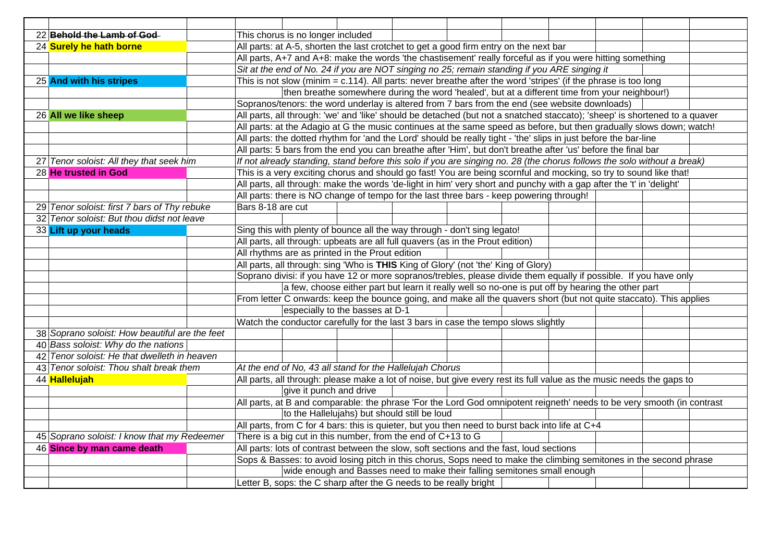| 22 Behold the Lamb of God-                     |                                                                                                                            | This chorus is no longer included                                                                                       |  |  |  |                                                                                              |  |  |  |
|------------------------------------------------|----------------------------------------------------------------------------------------------------------------------------|-------------------------------------------------------------------------------------------------------------------------|--|--|--|----------------------------------------------------------------------------------------------|--|--|--|
| 24 Surely he hath borne                        | All parts: at A-5, shorten the last crotchet to get a good firm entry on the next bar                                      |                                                                                                                         |  |  |  |                                                                                              |  |  |  |
|                                                | All parts, A+7 and A+8: make the words 'the chastisement' really forceful as if you were hitting something                 |                                                                                                                         |  |  |  |                                                                                              |  |  |  |
|                                                |                                                                                                                            |                                                                                                                         |  |  |  | Sit at the end of No. 24 if you are NOT singing no 25; remain standing if you ARE singing it |  |  |  |
| 25 And with his stripes                        |                                                                                                                            | This is not slow (minim $= c.114$ ). All parts: never breathe after the word 'stripes' (if the phrase is too long       |  |  |  |                                                                                              |  |  |  |
|                                                | then breathe somewhere during the word 'healed', but at a different time from your neighbour!)                             |                                                                                                                         |  |  |  |                                                                                              |  |  |  |
|                                                | Sopranos/tenors: the word underlay is altered from 7 bars from the end (see website downloads)                             |                                                                                                                         |  |  |  |                                                                                              |  |  |  |
| 26 All we like sheep                           | All parts, all through: 'we' and 'like' should be detached (but not a snatched staccato); 'sheep' is shortened to a quaver |                                                                                                                         |  |  |  |                                                                                              |  |  |  |
|                                                |                                                                                                                            | All parts: at the Adagio at G the music continues at the same speed as before, but then gradually slows down; watch!    |  |  |  |                                                                                              |  |  |  |
|                                                |                                                                                                                            | All parts: the dotted rhythm for 'and the Lord' should be really tight - 'the' slips in just before the bar-line        |  |  |  |                                                                                              |  |  |  |
|                                                |                                                                                                                            | All parts: 5 bars from the end you can breathe after 'Him', but don't breathe after 'us' before the final bar           |  |  |  |                                                                                              |  |  |  |
| 27 Tenor soloist: All they that seek him       |                                                                                                                            | If not already standing, stand before this solo if you are singing no. 28 (the chorus follows the solo without a break) |  |  |  |                                                                                              |  |  |  |
| 28 He trusted in God                           |                                                                                                                            | This is a very exciting chorus and should go fast! You are being scornful and mocking, so try to sound like that!       |  |  |  |                                                                                              |  |  |  |
|                                                | All parts, all through: make the words 'de-light in him' very short and punchy with a gap after the 't' in 'delight'       |                                                                                                                         |  |  |  |                                                                                              |  |  |  |
|                                                |                                                                                                                            | All parts: there is NO change of tempo for the last three bars - keep powering through!                                 |  |  |  |                                                                                              |  |  |  |
| 29 Tenor soloist: first 7 bars of Thy rebuke   | Bars 8-18 are cut                                                                                                          |                                                                                                                         |  |  |  |                                                                                              |  |  |  |
| 32 Tenor soloist: But thou didst not leave     |                                                                                                                            |                                                                                                                         |  |  |  |                                                                                              |  |  |  |
| 33 Lift up your heads                          | Sing this with plenty of bounce all the way through - don't sing legato!                                                   |                                                                                                                         |  |  |  |                                                                                              |  |  |  |
|                                                | All parts, all through: upbeats are all full quavers (as in the Prout edition)                                             |                                                                                                                         |  |  |  |                                                                                              |  |  |  |
|                                                |                                                                                                                            | All rhythms are as printed in the Prout edition                                                                         |  |  |  |                                                                                              |  |  |  |
|                                                |                                                                                                                            | All parts, all through: sing 'Who is THIS King of Glory' (not 'the' King of Glory)                                      |  |  |  |                                                                                              |  |  |  |
|                                                | Soprano divisi: if you have 12 or more sopranos/trebles, please divide them equally if possible. If you have only          |                                                                                                                         |  |  |  |                                                                                              |  |  |  |
|                                                | a few, choose either part but learn it really well so no-one is put off by hearing the other part                          |                                                                                                                         |  |  |  |                                                                                              |  |  |  |
|                                                |                                                                                                                            | From letter C onwards: keep the bounce going, and make all the quavers short (but not quite staccato). This applies     |  |  |  |                                                                                              |  |  |  |
|                                                |                                                                                                                            | especially to the basses at D-1                                                                                         |  |  |  |                                                                                              |  |  |  |
|                                                |                                                                                                                            | Watch the conductor carefully for the last 3 bars in case the tempo slows slightly                                      |  |  |  |                                                                                              |  |  |  |
| 38 Soprano soloist: How beautiful are the feet |                                                                                                                            |                                                                                                                         |  |  |  |                                                                                              |  |  |  |
| 40 Bass soloist: Why do the nations            |                                                                                                                            |                                                                                                                         |  |  |  |                                                                                              |  |  |  |
| 42 Tenor soloist: He that dwelleth in heaven   |                                                                                                                            |                                                                                                                         |  |  |  |                                                                                              |  |  |  |
| 43 Tenor soloist: Thou shalt break them        | At the end of No, 43 all stand for the Hallelujah Chorus                                                                   |                                                                                                                         |  |  |  |                                                                                              |  |  |  |
| 44 Hallelujah                                  | All parts, all through: please make a lot of noise, but give every rest its full value as the music needs the gaps to      |                                                                                                                         |  |  |  |                                                                                              |  |  |  |
|                                                | give it punch and drive                                                                                                    |                                                                                                                         |  |  |  |                                                                                              |  |  |  |
|                                                | All parts, at B and comparable: the phrase 'For the Lord God omnipotent reigneth' needs to be very smooth (in contrast     |                                                                                                                         |  |  |  |                                                                                              |  |  |  |
|                                                | to the Hallelujahs) but should still be loud                                                                               |                                                                                                                         |  |  |  |                                                                                              |  |  |  |
|                                                | All parts, from C for 4 bars: this is quieter, but you then need to burst back into life at C+4                            |                                                                                                                         |  |  |  |                                                                                              |  |  |  |
| 45 Soprano soloist: I know that my Redeemer    |                                                                                                                            | There is a big cut in this number, from the end of C+13 to G                                                            |  |  |  |                                                                                              |  |  |  |
| 46 Since by man came death                     | All parts: lots of contrast between the slow, soft sections and the fast, loud sections                                    |                                                                                                                         |  |  |  |                                                                                              |  |  |  |
|                                                | Sops & Basses: to avoid losing pitch in this chorus, Sops need to make the climbing semitones in the second phrase         |                                                                                                                         |  |  |  |                                                                                              |  |  |  |
|                                                | wide enough and Basses need to make their falling semitones small enough                                                   |                                                                                                                         |  |  |  |                                                                                              |  |  |  |
|                                                | Letter B, sops: the C sharp after the G needs to be really bright                                                          |                                                                                                                         |  |  |  |                                                                                              |  |  |  |